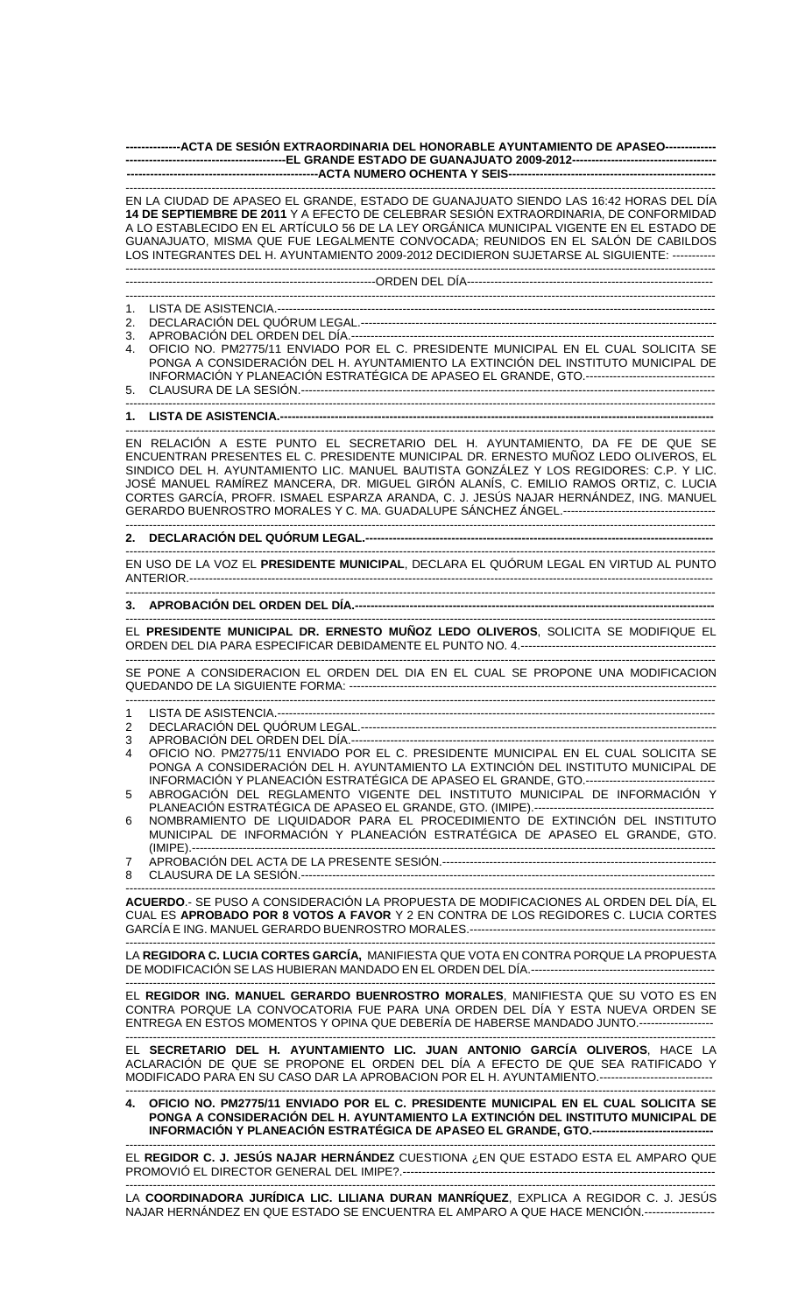**--------------ACTA DE SESIÓN EXTRAORDINARIA DEL HONORABLE AYUNTAMIENTO DE APASEO------------- -----------------------------------------EL GRANDE ESTADO DE GUANAJUATO 2009-2012------------------------------------- -------------------------------------------------ACTA NUMERO OCHENTA Y SEIS-----------------------------------------------------** 

------------------------------------------------------------------------------------------------------------------------------------------------------- EN LA CIUDAD DE APASEO EL GRANDE, ESTADO DE GUANAJUATO SIENDO LAS 16:42 HORAS DEL DÍA **14 DE SEPTIEMBRE DE 2011** Y A EFECTO DE CELEBRAR SESIÓN EXTRAORDINARIA, DE CONFORMIDAD A LO ESTABLECIDO EN EL ARTÍCULO 56 DE LA LEY ORGÁNICA MUNICIPAL VIGENTE EN EL ESTADO DE GUANAJUATO, MISMA QUE FUE LEGALMENTE CONVOCADA; REUNIDOS EN EL SALÓN DE CABILDOS LOS INTEGRANTES DEL H. AYUNTAMIENTO 2009-2012 DECIDIERON SUJETARSE AL SIGUIENTE: ----------- ------------------------------------------------------------------------------------------------------------------------------------------------------- ----------------------------------------------------------------ORDEN DEL DÍA--------------------------------------------------------------- ------------------------------------------------------------------------------------------------------------------------------------------------------- 1. LISTA DE ASISTENCIA.---------------------------------------------------------------------------------------------------------------- 2. DECLARACIÓN DEL QUÓRUM LEGAL.------------------------------------------------------------------------------------------- 3. APROBACIÓN DEL ORDEN DEL DÍA.---4. OFICIO NO. PM2775/11 ENVIADO POR EL C. PRESIDENTE MUNICIPAL EN EL CUAL SOLICITA SE PONGA A CONSIDERACIÓN DEL H. AYUNTAMIENTO LA EXTINCIÓN DEL INSTITUTO MUNICIPAL DE INFORMACIÓN Y PLANEACIÓN ESTRATÉGICA DE APASEO EL GRANDE, GTO.--------------------------------- 5. CLAUSURA DE LA SESIÓN.---------------------------------------------------------------------------------------------------------- ------------------------------------------------------------------------------------------------------------------------------------------------------- 1. LISTA DE ASISTENCIA.---------------------------------------------------------------------------------------------------------------------------------------------------------- EN RELACIÓN A ESTE PUNTO EL SECRETARIO DEL H. AYUNTAMIENTO, DA FE DE QUE SE ENCUENTRAN PRESENTES EL C. PRESIDENTE MUNICIPAL DR. ERNESTO MUÑOZ LEDO OLIVEROS, EL SINDICO DEL H. AYUNTAMIENTO LIC. MANUEL BAUTISTA GONZÁLEZ Y LOS REGIDORES: C.P. Y LIC. JOSÉ MANUEL RAMÍREZ MANCERA, DR. MIGUEL GIRÓN ALANÍS, C. EMILIO RAMOS ORTIZ, C. LUCIA CORTES GARCÍA, PROFR. ISMAEL ESPARZA ARANDA, C. J. JESÚS NAJAR HERNÁNDEZ, ING. MANUEL GERARDO BUENROSTRO MORALES Y C. MA. GUADALUPE SÁNCHEZ ÁNGEL.--------------------------------------- ------------------------------------------------------------------------------------------------------------------------------------------------------- 2. DECLARACIÓN DEL QUÓRUM LEGAL.---------------------------------------------------------------------------------------------------------------------------------------------------------- EN USO DE LA VOZ EL **PRESIDENTE MUNICIPAL**, DECLARA EL QUÓRUM LEGAL EN VIRTUD AL PUNTO ANTERIOR.-------------------------------------------------------------------------------------------------------------------------------------- ------------------------------------------------------------------------------------------------------------------------------------------------------- 3. APROBACIÓN DEL ORDEN DEL DÍA.----------------------------------------------------------------------------------------------------------------------------------------------------------- EL **PRESIDENTE MUNICIPAL DR. ERNESTO MUÑOZ LEDO OLIVEROS**, SOLICITA SE MODIFIQUE EL ORDEN DEL DIA PARA ESPECIFICAR DEBIDAMENTE EL PUNTO NO. 4.-------------------------------------------------- ------------------------------------------------------------------------------------------------------------------------------------------------------- SE PONE A CONSIDERACION EL ORDEN DEL DIA EN EL CUAL SE PROPONE UNA MODIFICACION QUEDANDO DE LA SIGUIENTE FORMA: -------------------------------------------------------------------------------------------------------------------------------------------------------------------- 1 LISTA DE ASISTENCIA.---------------------------------------------------------------------------------------------------------------- 2 DECLARACIÓN DEL QUÓRUM LEGAL.------------------------------------------------------------------------------------------- 3 APROBACIÓN DEL ORDEN DEL DÍA.--------------------------------------------------------------------------------------------- 4 OFICIO NO. PM2775/11 ENVIADO POR EL C. PRESIDENTE MUNICIPAL EN EL CUAL SOLICITA SE PONGA A CONSIDERACIÓN DEL H. AYUNTAMIENTO LA EXTINCIÓN DEL INSTITUTO MUNICIPAL DE INFORMACIÓN Y PLANEACIÓN ESTRATÉGICA DE APASEO EL GRANDE, GTO.--------------------------------- 5 ABROGACIÓN DEL REGLAMENTO VIGENTE DEL INSTITUTO MUNICIPAL DE INFORMACIÓN Y PLANEACIÓN ESTRATÉGICA DE APASEO EL GRANDE, GTO. (IMIPE).---------------------------------------------- 6 NOMBRAMIENTO DE LIQUIDADOR PARA EL PROCEDIMIENTO DE EXTINCIÓN DEL INSTITUTO MUNICIPAL DE INFORMACIÓN Y PLANEACIÓN ESTRATÉGICA DE APASEO EL GRANDE, GTO. (IMIPE).-------------------------------------------------------------------------------------------------------------------------------------- 7 APROBACIÓN DEL ACTA DE LA PRESENTE SESIÓN.---------------------------------------------------------------------- 8 CLAUSURA DE LA SESIÓN.---------------------------------------------------------------------------------------------------------- ------------------------------------------------------------------------------------------------------------------------------------------------------- **ACUERDO**.- SE PUSO A CONSIDERACIÓN LA PROPUESTA DE MODIFICACIONES AL ORDEN DEL DÍA, EL CUAL ES **APROBADO POR 8 VOTOS A FAVOR** Y 2 EN CONTRA DE LOS REGIDORES C. LUCIA CORTES GARCÍA E ING. MANUEL GERARDO BUENROSTRO MORALES.--------------------------------------------------------------- ------------------------------------------------------------------------------------------------------------------------------------------------------- LA **REGIDORA C. LUCIA CORTES GARCÍA,** MANIFIESTA QUE VOTA EN CONTRA PORQUE LA PROPUESTA DE MODIFICACIÓN SE LAS HUBIERAN MANDADO EN EL ORDEN DEL DÍA.----------------------------------------------- ------------------------------------------------------------------------------------------------------------------------------------------------------- EL **REGIDOR ING. MANUEL GERARDO BUENROSTRO MORALES**, MANIFIESTA QUE SU VOTO ES EN CONTRA PORQUE LA CONVOCATORIA FUE PARA UNA ORDEN DEL DÍA Y ESTA NUEVA ORDEN SE

ENTREGA EN ESTOS MOMENTOS Y OPINA QUE DEBERÍA DE HABERSE MANDADO JUNTO.------------------- ------------------------------------------------------------------------------------------------------------------------------------------------------- EL **SECRETARIO DEL H. AYUNTAMIENTO LIC. JUAN ANTONIO GARCÍA OLIVEROS**, HACE LA ACLARACIÓN DE QUE SE PROPONE EL ORDEN DEL DÍA A EFECTO DE QUE SEA RATIFICADO Y

MODIFICADO PARA EN SU CASO DAR LA APROBACION POR EL H. AYUNTAMIENTO.----------------------------- ------------------------------------------------------------------------------------------------------------------------------------------------------- **4. OFICIO NO. PM2775/11 ENVIADO POR EL C. PRESIDENTE MUNICIPAL EN EL CUAL SOLICITA SE PONGA A CONSIDERACIÓN DEL H. AYUNTAMIENTO LA EXTINCIÓN DEL INSTITUTO MUNICIPAL DE INFORMACIÓN Y PLANEACIÓN ESTRATÉGICA DE APASEO EL GRANDE, GTO.-------------------------------** 

------------------------------------------------------------------------------------------------------------------------------------------------------- EL **REGIDOR C. J. JESÚS NAJAR HERNÁNDEZ** CUESTIONA ¿EN QUE ESTADO ESTA EL AMPARO QUE PROMOVIÓ EL DIRECTOR GENERAL DEL IMIPE?.--------------------------------------------------------------------------------

------------------------------------------------------------------------------------------------------------------------------------------------------- LA **COORDINADORA JURÍDICA LIC. LILIANA DURAN MANRÍQUEZ**, EXPLICA A REGIDOR C. J. JESÚS NAJAR HERNÁNDEZ EN QUE ESTADO SE ENCUENTRA EL AMPARO A QUE HACE MENCIÓN.----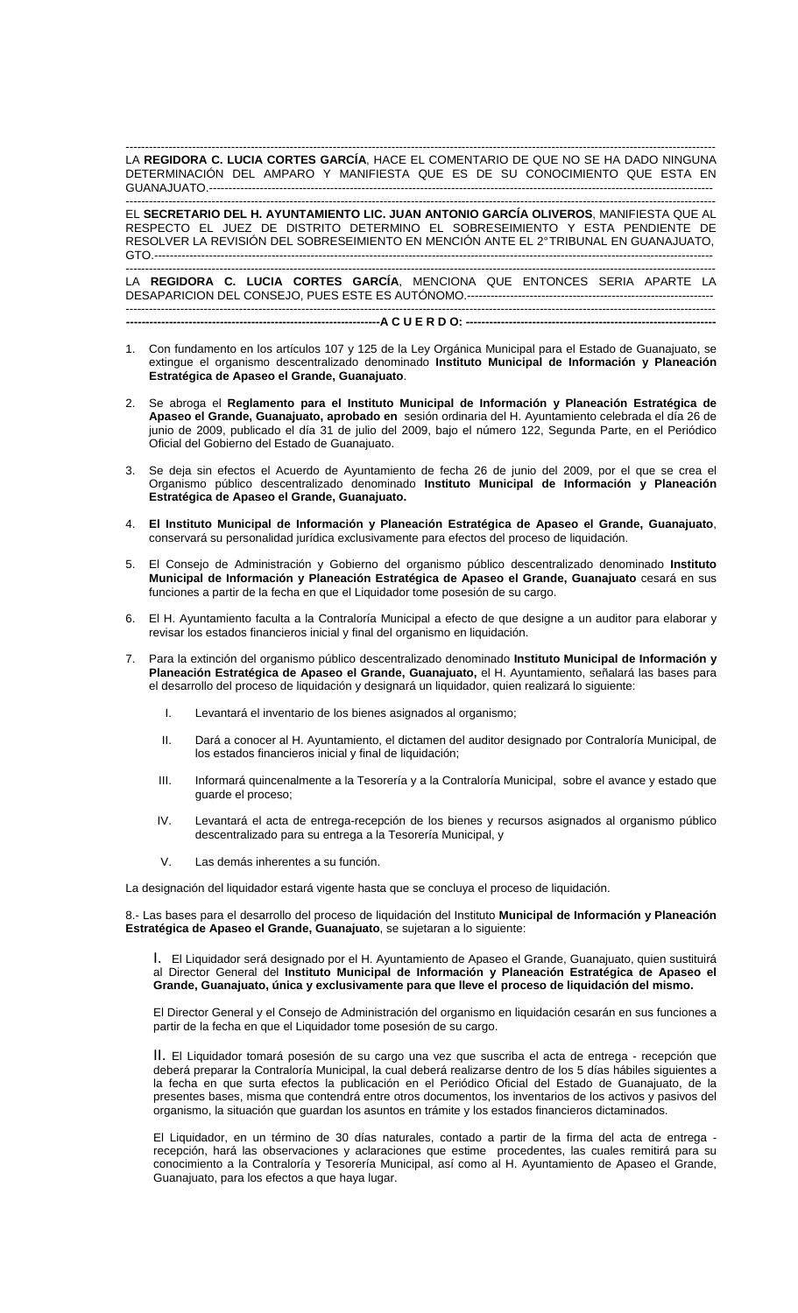------------------------------------------------------------------------------------------------------------------------------------------------------- LA **REGIDORA C. LUCIA CORTES GARCÍA**, HACE EL COMENTARIO DE QUE NO SE HA DADO NINGUNA DETERMINACIÓN DEL AMPARO Y MANIFIESTA QUE ES DE SU CONOCIMIENTO QUE ESTA EN GUANAJUATO.---------------------------------------------------------------------------------------------------------------------------------

------------------------------------------------------------------------------------------------------------------------------------------------------- EL **SECRETARIO DEL H. AYUNTAMIENTO LIC. JUAN ANTONIO GARCÍA OLIVEROS**, MANIFIESTA QUE AL RESPECTO EL JUEZ DE DISTRITO DETERMINO EL SOBRESEIMIENTO Y ESTA PENDIENTE DE RESOLVER LA REVISIÓN DEL SOBRESEIMIENTO EN MENCIÓN ANTE EL 2° TRIBUNAL EN GUANAJUATO, GTO.-----------------------------------------------------------------------------------------------------------------------------------------------

------------------------------------------------------------------------------------------------------------------------------------------------------- LA **REGIDORA C. LUCIA CORTES GARCÍA**, MENCIONA QUE ENTONCES SERIA APARTE LA DESAPARICION DEL CONSEJO, PUES ESTE ES AUTÓNOMO.--------------------------------------------------------------- ------------------------------------------------------------------------------------------------------------------------------------------------------- **-----------------------------------------------------------------A C U E R D O: ----------------------------------------------------------------** 

- 1. Con fundamento en los artículos 107 y 125 de la Ley Orgánica Municipal para el Estado de Guanajuato, se extingue el organismo descentralizado denominado **Instituto Municipal de Información y Planeación Estratégica de Apaseo el Grande, Guanajuato**.
- 2. Se abroga el **Reglamento para el Instituto Municipal de Información y Planeación Estratégica de Apaseo el Grande, Guanajuato, aprobado en** sesión ordinaria del H. Ayuntamiento celebrada el día 26 de junio de 2009, publicado el día 31 de julio del 2009, bajo el número 122, Segunda Parte, en el Periódico Oficial del Gobierno del Estado de Guanajuato.
- 3. Se deja sin efectos el Acuerdo de Ayuntamiento de fecha 26 de junio del 2009, por el que se crea el Organismo público descentralizado denominado **Instituto Municipal de Información y Planeación Estratégica de Apaseo el Grande, Guanajuato.**
- 4. **El Instituto Municipal de Información y Planeación Estratégica de Apaseo el Grande, Guanajuato**, conservará su personalidad jurídica exclusivamente para efectos del proceso de liquidación.
- 5. El Consejo de Administración y Gobierno del organismo público descentralizado denominado **Instituto Municipal de Información y Planeación Estratégica de Apaseo el Grande, Guanajuato** cesará en sus funciones a partir de la fecha en que el Liquidador tome posesión de su cargo.
- 6. El H. Ayuntamiento faculta a la Contraloría Municipal a efecto de que designe a un auditor para elaborar y revisar los estados financieros inicial y final del organismo en liquidación.
- 7. Para la extinción del organismo público descentralizado denominado **Instituto Municipal de Información y Planeación Estratégica de Apaseo el Grande, Guanajuato,** el H. Ayuntamiento, señalará las bases para el desarrollo del proceso de liquidación y designará un liquidador, quien realizará lo siguiente:
	- I. Levantará el inventario de los bienes asignados al organismo;
	- II. Dará a conocer al H. Ayuntamiento, el dictamen del auditor designado por Contraloría Municipal, de los estados financieros inicial y final de liquidación;
	- III. Informará quincenalmente a la Tesorería y a la Contraloría Municipal, sobre el avance y estado que guarde el proceso;
	- IV. Levantará el acta de entrega-recepción de los bienes y recursos asignados al organismo público descentralizado para su entrega a la Tesorería Municipal, y
	- V. Las demás inherentes a su función.

La designación del liquidador estará vigente hasta que se concluya el proceso de liquidación.

8.- Las bases para el desarrollo del proceso de liquidación del Instituto **Municipal de Información y Planeación Estratégica de Apaseo el Grande, Guanajuato**, se sujetaran a lo siguiente:

I. El Liquidador será designado por el H. Ayuntamiento de Apaseo el Grande, Guanajuato, quien sustituirá al Director General del **Instituto Municipal de Información y Planeación Estratégica de Apaseo el Grande, Guanajuato, única y exclusivamente para que lleve el proceso de liquidación del mismo.**

El Director General y el Consejo de Administración del organismo en liquidación cesarán en sus funciones a partir de la fecha en que el Liquidador tome posesión de su cargo.

II. El Liquidador tomará posesión de su cargo una vez que suscriba el acta de entrega - recepción que deberá preparar la Contraloría Municipal, la cual deberá realizarse dentro de los 5 días hábiles siguientes a la fecha en que surta efectos la publicación en el Periódico Oficial del Estado de Guanajuato, de la presentes bases, misma que contendrá entre otros documentos, los inventarios de los activos y pasivos del organismo, la situación que guardan los asuntos en trámite y los estados financieros dictaminados.

El Liquidador, en un término de 30 días naturales, contado a partir de la firma del acta de entrega recepción, hará las observaciones y aclaraciones que estime procedentes, las cuales remitirá para su conocimiento a la Contraloría y Tesorería Municipal, así como al H. Ayuntamiento de Apaseo el Grande, Guanajuato, para los efectos a que haya lugar.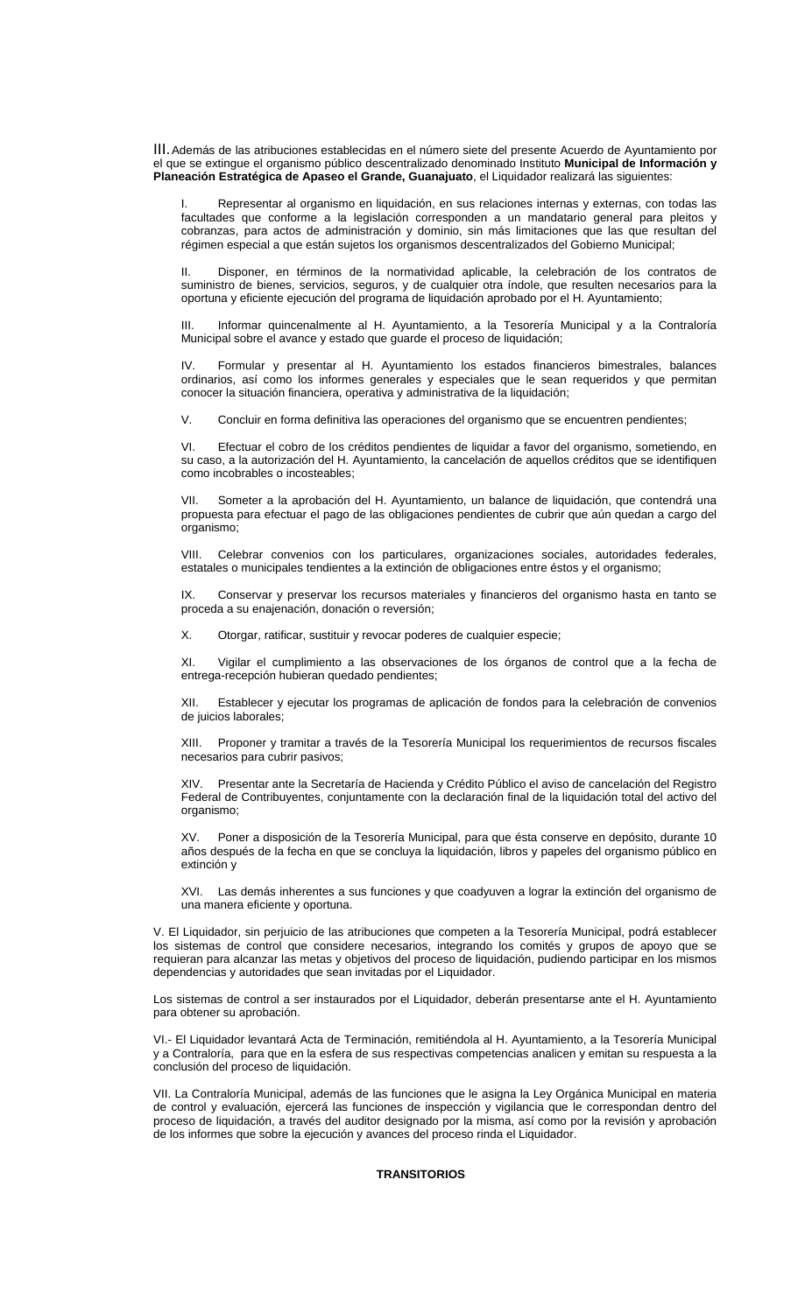III. Además de las atribuciones establecidas en el número siete del presente Acuerdo de Ayuntamiento por el que se extingue el organismo público descentralizado denominado Instituto **Municipal de Información y Planeación Estratégica de Apaseo el Grande, Guanajuato**, el Liquidador realizará las siguientes:

Representar al organismo en liquidación, en sus relaciones internas y externas, con todas las facultades que conforme a la legislación corresponden a un mandatario general para pleitos y cobranzas, para actos de administración y dominio, sin más limitaciones que las que resultan del régimen especial a que están sujetos los organismos descentralizados del Gobierno Municipal;

II. Disponer, en términos de la normatividad aplicable, la celebración de los contratos de suministro de bienes, servicios, seguros, y de cualquier otra índole, que resulten necesarios para la oportuna y eficiente ejecución del programa de liquidación aprobado por el H. Ayuntamiento;

III. Informar quincenalmente al H. Ayuntamiento, a la Tesorería Municipal y a la Contraloría Municipal sobre el avance y estado que guarde el proceso de liquidación;

IV. Formular y presentar al H. Ayuntamiento los estados financieros bimestrales, balances ordinarios, así como los informes generales y especiales que le sean requeridos y que permitan conocer la situación financiera, operativa y administrativa de la liquidación;

V. Concluir en forma definitiva las operaciones del organismo que se encuentren pendientes;

VI. Efectuar el cobro de los créditos pendientes de liquidar a favor del organismo, sometiendo, en su caso, a la autorización del H. Ayuntamiento, la cancelación de aquellos créditos que se identifiquen como incobrables o incosteables;

VII. Someter a la aprobación del H. Ayuntamiento, un balance de liquidación, que contendrá una propuesta para efectuar el pago de las obligaciones pendientes de cubrir que aún quedan a cargo del organismo;

VIII. Celebrar convenios con los particulares, organizaciones sociales, autoridades federales, estatales o municipales tendientes a la extinción de obligaciones entre éstos y el organismo;

Conservar y preservar los recursos materiales y financieros del organismo hasta en tanto se proceda a su enajenación, donación o reversión;

X. Otorgar, ratificar, sustituir y revocar poderes de cualquier especie;

XI. Vigilar el cumplimiento a las observaciones de los órganos de control que a la fecha de entrega-recepción hubieran quedado pendientes;

XII. Establecer y ejecutar los programas de aplicación de fondos para la celebración de convenios de juicios laborales;

XIII. Proponer y tramitar a través de la Tesorería Municipal los requerimientos de recursos fiscales necesarios para cubrir pasivos;

XIV. Presentar ante la Secretaría de Hacienda y Crédito Público el aviso de cancelación del Registro Federal de Contribuyentes, conjuntamente con la declaración final de la liquidación total del activo del organismo;

XV. Poner a disposición de la Tesorería Municipal, para que ésta conserve en depósito, durante 10 años después de la fecha en que se concluya la liquidación, libros y papeles del organismo público en extinción y

XVI. Las demás inherentes a sus funciones y que coadyuven a lograr la extinción del organismo de una manera eficiente y oportuna.

V. El Liquidador, sin perjuicio de las atribuciones que competen a la Tesorería Municipal, podrá establecer los sistemas de control que considere necesarios, integrando los comités y grupos de apoyo que se requieran para alcanzar las metas y objetivos del proceso de liquidación, pudiendo participar en los mismos dependencias y autoridades que sean invitadas por el Liquidador.

Los sistemas de control a ser instaurados por el Liquidador, deberán presentarse ante el H. Ayuntamiento para obtener su aprobación.

VI.- El Liquidador levantará Acta de Terminación, remitiéndola al H. Ayuntamiento, a la Tesorería Municipal y a Contraloría, para que en la esfera de sus respectivas competencias analicen y emitan su respuesta a la conclusión del proceso de liquidación.

VII. La Contraloría Municipal, además de las funciones que le asigna la Ley Orgánica Municipal en materia de control y evaluación, ejercerá las funciones de inspección y vigilancia que le correspondan dentro del proceso de liquidación, a través del auditor designado por la misma, así como por la revisión y aprobación de los informes que sobre la ejecución y avances del proceso rinda el Liquidador.

## **TRANSITORIOS**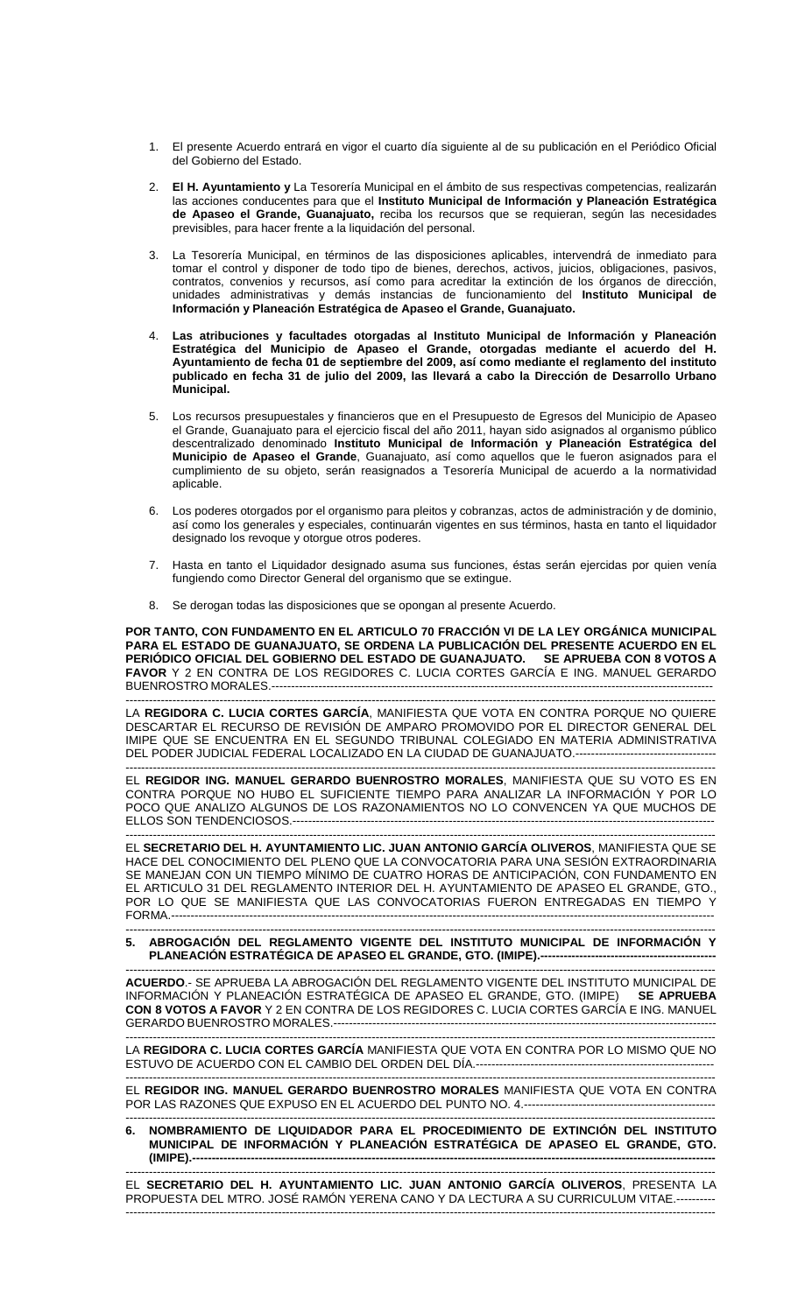- 1. El presente Acuerdo entrará en vigor el cuarto día siguiente al de su publicación en el Periódico Oficial del Gobierno del Estado.
- 2. **El H. Ayuntamiento y** La Tesorería Municipal en el ámbito de sus respectivas competencias, realizarán las acciones conducentes para que el **Instituto Municipal de Información y Planeación Estratégica de Apaseo el Grande, Guanajuato,** reciba los recursos que se requieran, según las necesidades previsibles, para hacer frente a la liquidación del personal.
- 3. La Tesorería Municipal, en términos de las disposiciones aplicables, intervendrá de inmediato para tomar el control y disponer de todo tipo de bienes, derechos, activos, juicios, obligaciones, pasivos, contratos, convenios y recursos, así como para acreditar la extinción de los órganos de dirección, unidades administrativas y demás instancias de funcionamiento del **Instituto Municipal de Información y Planeación Estratégica de Apaseo el Grande, Guanajuato.**
- 4. **Las atribuciones y facultades otorgadas al Instituto Municipal de Información y Planeación Estratégica del Municipio de Apaseo el Grande, otorgadas mediante el acuerdo del H. Ayuntamiento de fecha 01 de septiembre del 2009, así como mediante el reglamento del instituto publicado en fecha 31 de julio del 2009, las llevará a cabo la Dirección de Desarrollo Urbano Municipal.**
- 5. Los recursos presupuestales y financieros que en el Presupuesto de Egresos del Municipio de Apaseo el Grande, Guanajuato para el ejercicio fiscal del año 2011, hayan sido asignados al organismo público descentralizado denominado **Instituto Municipal de Información y Planeación Estratégica del Municipio de Apaseo el Grande**, Guanajuato, así como aquellos que le fueron asignados para el cumplimiento de su objeto, serán reasignados a Tesorería Municipal de acuerdo a la normatividad aplicable.
- 6. Los poderes otorgados por el organismo para pleitos y cobranzas, actos de administración y de dominio, así como los generales y especiales, continuarán vigentes en sus términos, hasta en tanto el liquidador designado los revoque y otorgue otros poderes.
- 7. Hasta en tanto el Liquidador designado asuma sus funciones, éstas serán ejercidas por quien venía fungiendo como Director General del organismo que se extingue.
- 8. Se derogan todas las disposiciones que se opongan al presente Acuerdo.

**POR TANTO, CON FUNDAMENTO EN EL ARTICULO 70 FRACCIÓN VI DE LA LEY ORGÁNICA MUNICIPAL PARA EL ESTADO DE GUANAJUATO, SE ORDENA LA PUBLICACIÓN DEL PRESENTE ACUERDO EN EL PERIÓDICO OFICIAL DEL GOBIERNO DEL ESTADO DE GUANAJUATO. SE APRUEBA CON 8 VOTOS A FAVOR** Y 2 EN CONTRA DE LOS REGIDORES C. LUCIA CORTES GARCÍA E ING. MANUEL GERARDO BUENROSTRO MORALES.----------------------------

------------------------------------------------------------------------------------------------------------------------------------------------------- LA **REGIDORA C. LUCIA CORTES GARCÍA**, MANIFIESTA QUE VOTA EN CONTRA PORQUE NO QUIERE DESCARTAR EL RECURSO DE REVISIÓN DE AMPARO PROMOVIDO POR EL DIRECTOR GENERAL DEL IMIPE QUE SE ENCUENTRA EN EL SEGUNDO TRIBUNAL COLEGIADO EN MATERIA ADMINISTRATIVA DEL PODER JUDICIAL FEDERAL LOCALIZADO EN LA CIUDAD DE GUANAJUATO.-----------------------------------

------------------------------------------------------------------------------------------------------------------------------------------------------- EL **REGIDOR ING. MANUEL GERARDO BUENROSTRO MORALES**, MANIFIESTA QUE SU VOTO ES EN CONTRA PORQUE NO HUBO EL SUFICIENTE TIEMPO PARA ANALIZAR LA INFORMACIÓN Y POR LO POCO QUE ANALIZO ALGUNOS DE LOS RAZONAMIENTOS NO LO CONVENCEN YA QUE MUCHOS DE ELLOS SON TENDENCIOSOS.----------------

------------------------------------------------------------------------------------------------------------------------------------------------------- EL **SECRETARIO DEL H. AYUNTAMIENTO LIC. JUAN ANTONIO GARCÍA OLIVEROS**, MANIFIESTA QUE SE HACE DEL CONOCIMIENTO DEL PLENO QUE LA CONVOCATORIA PARA UNA SESIÓN EXTRAORDINARIA SE MANEJAN CON UN TIEMPO MÍNIMO DE CUATRO HORAS DE ANTICIPACIÓN, CON FUNDAMENTO EN EL ARTICULO 31 DEL REGLAMENTO INTERIOR DEL H. AYUNTAMIENTO DE APASEO EL GRANDE, GTO., POR LO QUE SE MANIFIESTA QUE LAS CONVOCATORIAS FUERON ENTREGADAS EN TIEMPO Y FORMA.-------------------------------------------------------------------------------------------------------------------------------------------

## ------------------------------------------------------------------------------------------------------------------------------------------------------- **5. ABROGACIÓN DEL REGLAMENTO VIGENTE DEL INSTITUTO MUNICIPAL DE INFORMACIÓN Y**  PLANEACIÓN ESTRATÉGICA DE APASEO EL GRANDE, GTO. (IMIPE).--

------------------------------------------------------------------------------------------------------------------------------------------------------- **ACUERDO**.- SE APRUEBA LA ABROGACIÓN DEL REGLAMENTO VIGENTE DEL INSTITUTO MUNICIPAL DE INFORMACIÓN Y PLANEACIÓN ESTRATÉGICA DE APASEO EL GRANDE, GTO. (IMIPE) **SE APRUEBA CON 8 VOTOS A FAVOR** Y 2 EN CONTRA DE LOS REGIDORES C. LUCIA CORTES GARCÍA E ING. MANUEL GERARDO BUENROSTRO MORALES.--------------------------------------------------------------------------------------------------

------------------------------------------------------------------------------------------------------------------------------------------------------- LA **REGIDORA C. LUCIA CORTES GARCÍA** MANIFIESTA QUE VOTA EN CONTRA POR LO MISMO QUE NO ESTUVO DE ACUERDO CON EL CAMBIO DEL ORDEN DEL DÍA.-------------------------------------------------------------

------------------------------------------------------------------------------------------------------------------------------------------------------- EL **REGIDOR ING. MANUEL GERARDO BUENROSTRO MORALES** MANIFIESTA QUE VOTA EN CONTRA POR LAS RAZONES QUE EXPUSO EN EL ACUERDO DEL PUNTO NO. 4.-------------------------------------------------

## ------------------------------------------------------------------------------------------------------------------------------------------------------- **6. NOMBRAMIENTO DE LIQUIDADOR PARA EL PROCEDIMIENTO DE EXTINCIÓN DEL INSTITUTO MUNICIPAL DE INFORMACIÓN Y PLANEACIÓN ESTRATÉGICA DE APASEO EL GRANDE, GTO. (IMIPE).--------------------------------------------------------------------------------------------------------------------------------------**

------------------------------------------------------------------------------------------------------------------------------------------------------- EL **SECRETARIO DEL H. AYUNTAMIENTO LIC. JUAN ANTONIO GARCÍA OLIVEROS**, PRESENTA LA PROPUESTA DEL MTRO. JOSÉ RAMÓN YERENA CANO Y DA LECTURA A SU CURRICULUM VITAE.---------- -------------------------------------------------------------------------------------------------------------------------------------------------------